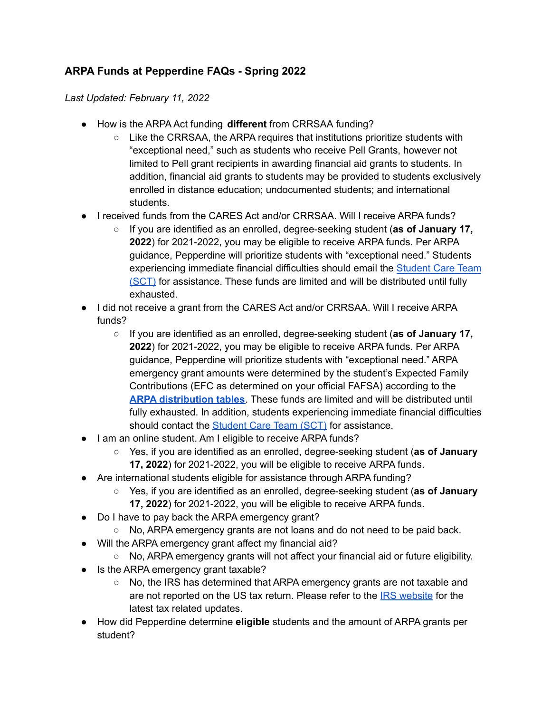## **ARPA Funds at Pepperdine FAQs - Spring 2022**

*Last Updated: February 11, 2022*

- How is the ARPA Act funding **different** from CRRSAA funding?
	- $\circ$  Like the CRRSAA, the ARPA requires that institutions prioritize students with "exceptional need," such as students who receive Pell Grants, however not limited to Pell grant recipients in awarding financial aid grants to students. In addition, financial aid grants to students may be provided to students exclusively enrolled in distance education; undocumented students; and international students.
- I received funds from the CARES Act and/or CRRSAA. Will I receive ARPA funds?
	- If you are identified as an enrolled, degree-seeking student (**as of January 17, 2022**) for 2021-2022, you may be eligible to receive ARPA funds. Per ARPA guidance, Pepperdine will prioritize students with "exceptional need." Students experiencing immediate financial difficulties should email the [Student](https://community.pepperdine.edu/student-care-team/) Care Team [\(SCT\)](https://community.pepperdine.edu/student-care-team/) for assistance. These funds are limited and will be distributed until fully exhausted.
- I did not receive a grant from the CARES Act and/or CRRSAA. Will I receive ARPA funds?
	- If you are identified as an enrolled, degree-seeking student (**as of January 17, 2022**) for 2021-2022, you may be eligible to receive ARPA funds. Per ARPA guidance, Pepperdine will prioritize students with "exceptional need." ARPA emergency grant amounts were determined by the student's Expected Family Contributions (EFC as determined on your official FAFSA) according to the **ARPA [distribution](https://www.pepperdine.edu/coronavirus/content/arpa-disbursement-table-02162022.pdf) tables**. These funds are limited and will be distributed until fully exhausted. In addition, students experiencing immediate financial difficulties should contact the [Student](https://community.pepperdine.edu/student-care-team/) Care Team (SCT) for assistance.
- I am an online student. Am I eligible to receive ARPA funds?
	- Yes, if you are identified as an enrolled, degree-seeking student (**as of January 17, 2022**) for 2021-2022, you will be eligible to receive ARPA funds.
- Are international students eligible for assistance through ARPA funding?
	- Yes, if you are identified as an enrolled, degree-seeking student (**as of January 17, 2022**) for 2021-2022, you will be eligible to receive ARPA funds.
- Do I have to pay back the ARPA emergency grant?
	- No, ARPA emergency grants are not loans and do not need to be paid back.
- Will the ARPA emergency grant affect my financial aid?
	- No, ARPA emergency grants will not affect your financial aid or future eligibility.
- Is the ARPA emergency grant taxable?
	- No, the IRS has determined that ARPA emergency grants are not taxable and are not reported on the US tax return. Please refer to the IRS [website](https://www.irs.gov/) for the latest tax related updates.
- How did Pepperdine determine **eligible** students and the amount of ARPA grants per student?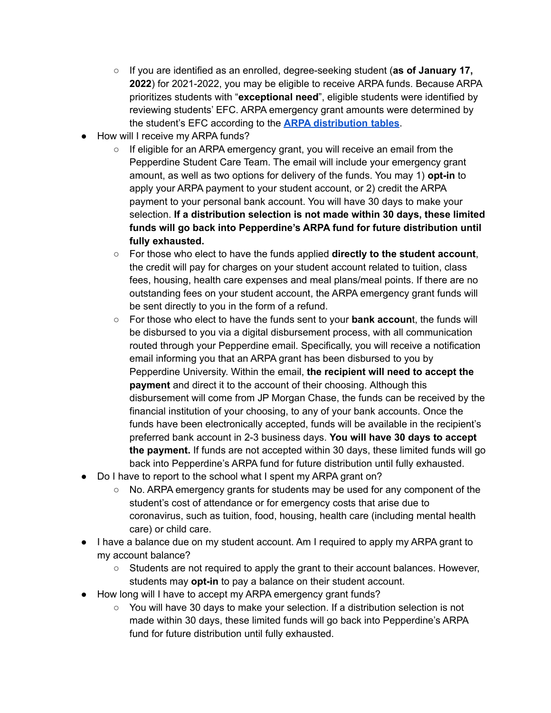- If you are identified as an enrolled, degree-seeking student (**as of January 17, 2022**) for 2021-2022, you may be eligible to receive ARPA funds. Because ARPA prioritizes students with "**exceptional need**", eligible students were identified by reviewing students' EFC. ARPA emergency grant amounts were determined by the student's EFC according to the **ARPA [distribution](https://www.pepperdine.edu/coronavirus/content/arpa-disbursement-table-02162022.pdf) tables**.
- How will I receive my ARPA funds?
	- $\circ$  If eligible for an ARPA emergency grant, you will receive an email from the Pepperdine Student Care Team. The email will include your emergency grant amount, as well as two options for delivery of the funds. You may 1) **opt-in** to apply your ARPA payment to your student account, or 2) credit the ARPA payment to your personal bank account. You will have 30 days to make your selection. **If a distribution selection is not made within 30 days, these limited funds will go back into Pepperdine's ARPA fund for future distribution until fully exhausted.**
	- For those who elect to have the funds applied **directly to the student account**, the credit will pay for charges on your student account related to tuition, class fees, housing, health care expenses and meal plans/meal points. If there are no outstanding fees on your student account, the ARPA emergency grant funds will be sent directly to you in the form of a refund.
	- For those who elect to have the funds sent to your **bank accoun**t, the funds will be disbursed to you via a digital disbursement process, with all communication routed through your Pepperdine email. Specifically, you will receive a notification email informing you that an ARPA grant has been disbursed to you by Pepperdine University. Within the email, **the recipient will need to accept the payment** and direct it to the account of their choosing. Although this disbursement will come from JP Morgan Chase, the funds can be received by the financial institution of your choosing, to any of your bank accounts. Once the funds have been electronically accepted, funds will be available in the recipient's preferred bank account in 2-3 business days. **You will have 30 days to accept the payment.** If funds are not accepted within 30 days, these limited funds will go back into Pepperdine's ARPA fund for future distribution until fully exhausted.
- Do I have to report to the school what I spent my ARPA grant on?
	- No. ARPA emergency grants for students may be used for any component of the student's cost of attendance or for emergency costs that arise due to coronavirus, such as tuition, food, housing, health care (including mental health care) or child care.
- I have a balance due on my student account. Am I required to apply my ARPA grant to my account balance?
	- Students are not required to apply the grant to their account balances. However, students may **opt-in** to pay a balance on their student account.
- How long will I have to accept my ARPA emergency grant funds?
	- You will have 30 days to make your selection. If a distribution selection is not made within 30 days, these limited funds will go back into Pepperdine's ARPA fund for future distribution until fully exhausted.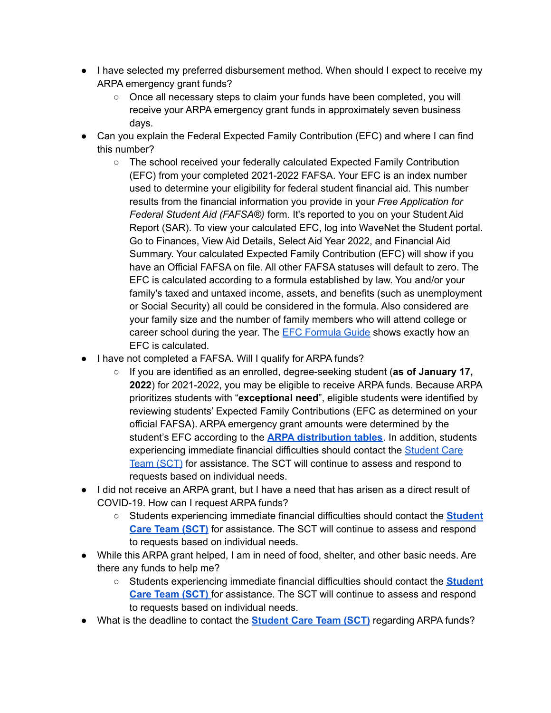- I have selected my preferred disbursement method. When should I expect to receive my ARPA emergency grant funds?
	- Once all necessary steps to claim your funds have been completed, you will receive your ARPA emergency grant funds in approximately seven business days.
- Can you explain the Federal Expected Family Contribution (EFC) and where I can find this number?
	- The school received your federally calculated Expected Family Contribution (EFC) from your completed 2021-2022 FAFSA. Your EFC is an index number used to determine your eligibility for federal student financial aid. This number results from the financial information you provide in your *Free Application for Federal Student Aid (FAFSA®)* form. It's reported to you on your Student Aid Report (SAR). To view your calculated EFC, log into WaveNet the Student portal. Go to Finances, View Aid Details, Select Aid Year 2022, and Financial Aid Summary. Your calculated Expected Family Contribution (EFC) will show if you have an Official FAFSA on file. All other FAFSA statuses will default to zero. The EFC is calculated according to a formula established by law. You and/or your family's taxed and untaxed income, assets, and benefits (such as unemployment or Social Security) all could be considered in the formula. Also considered are your family size and the number of family members who will attend college or career school during the year. The EFC [Formula](https://ifap.ed.gov/sites/default/files/attachments/2020-08/2122EFCFormulaGuide.pdf) Guide shows exactly how an EFC is calculated.
- I have not completed a FAFSA. Will I qualify for ARPA funds?
	- If you are identified as an enrolled, degree-seeking student (**as of January 17, 2022**) for 2021-2022, you may be eligible to receive ARPA funds. Because ARPA prioritizes students with "**exceptional need**", eligible students were identified by reviewing students' Expected Family Contributions (EFC as determined on your official FAFSA). ARPA emergency grant amounts were determined by the student's EFC according to the **ARPA [distribution](https://www.pepperdine.edu/coronavirus/content/arpa-disbursement-table-02162022.pdf) tables**. In addition, students experiencing immediate financial difficulties should contact the [Student](https://community.pepperdine.edu/student-care-team/) Care Team [\(SCT\)](https://community.pepperdine.edu/student-care-team/) for assistance. The SCT will continue to assess and respond to requests based on individual needs.
- I did not receive an ARPA grant, but I have a need that has arisen as a direct result of COVID-19. How can I request ARPA funds?
	- Students experiencing immediate financial difficulties should contact the **[Student](https://community.pepperdine.edu/student-care-team/) Care Team [\(SCT\)](https://community.pepperdine.edu/student-care-team/)** for assistance. The SCT will continue to assess and respond to requests based on individual needs.
- While this ARPA grant helped, I am in need of food, shelter, and other basic needs. Are there any funds to help me?
	- Students experiencing immediate financial difficulties should contact the **[Student](https://community.pepperdine.edu/student-care-team/) Care Team [\(SCT\)](https://community.pepperdine.edu/student-care-team/)** for assistance. The SCT will continue to assess and respond to requests based on individual needs.
- What is the deadline to contact the **[Student](https://community.pepperdine.edu/student-care-team/) Care Team (SCT)** regarding ARPA funds?